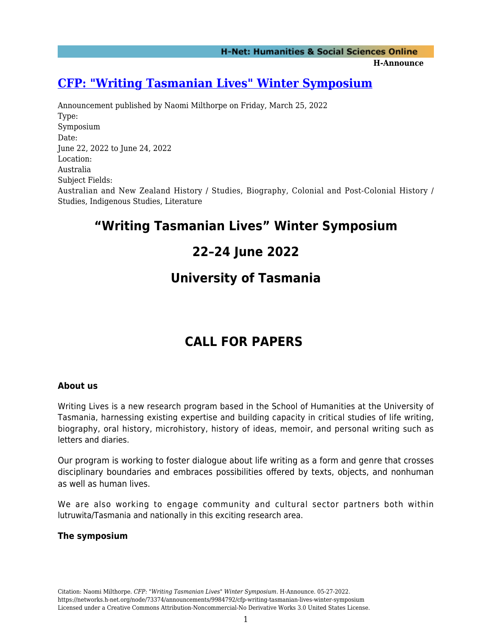#### **H-Announce**

### **[CFP: "Writing Tasmanian Lives" Winter Symposium](https://networks.h-net.org/node/73374/announcements/9984792/cfp-writing-tasmanian-lives-winter-symposium)**

Announcement published by Naomi Milthorpe on Friday, March 25, 2022 Type: Symposium Date: June 22, 2022 to June 24, 2022 Location: Australia Subject Fields: Australian and New Zealand History / Studies, Biography, Colonial and Post-Colonial History / Studies, Indigenous Studies, Literature

## **"Writing Tasmanian Lives" Winter Symposium**

## **22–24 June 2022**

### **University of Tasmania**

# **CALL FOR PAPERS**

#### **About us**

Writing Lives is a new research program based in the School of Humanities at the University of Tasmania, harnessing existing expertise and building capacity in critical studies of life writing, biography, oral history, microhistory, history of ideas, memoir, and personal writing such as letters and diaries.

Our program is working to foster dialogue about life writing as a form and genre that crosses disciplinary boundaries and embraces possibilities offered by texts, objects, and nonhuman as well as human lives.

We are also working to engage community and cultural sector partners both within lutruwita/Tasmania and nationally in this exciting research area.

#### **The symposium**

Citation: Naomi Milthorpe. *CFP: "Writing Tasmanian Lives" Winter Symposium*. H-Announce. 05-27-2022. https://networks.h-net.org/node/73374/announcements/9984792/cfp-writing-tasmanian-lives-winter-symposium Licensed under a Creative Commons Attribution-Noncommercial-No Derivative Works 3.0 United States License.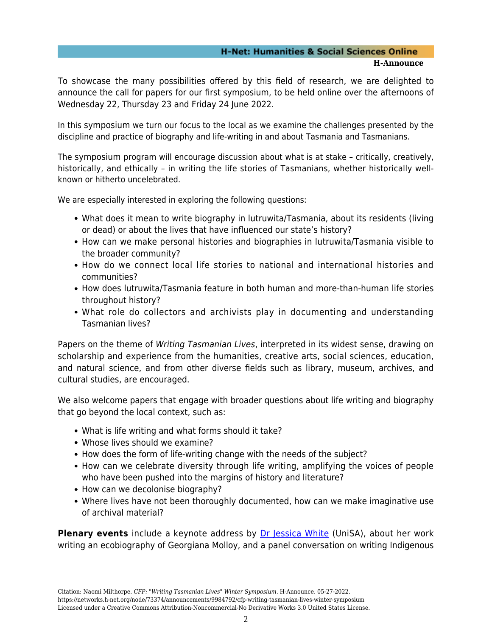#### **H-Net: Humanities & Social Sciences Online H-Announce**

To showcase the many possibilities offered by this field of research, we are delighted to announce the call for papers for our first symposium, to be held online over the afternoons of Wednesday 22, Thursday 23 and Friday 24 June 2022.

In this symposium we turn our focus to the local as we examine the challenges presented by the discipline and practice of biography and life-writing in and about Tasmania and Tasmanians.

The symposium program will encourage discussion about what is at stake – critically, creatively, historically, and ethically – in writing the life stories of Tasmanians, whether historically wellknown or hitherto uncelebrated.

We are especially interested in exploring the following questions:

- What does it mean to write biography in lutruwita/Tasmania, about its residents (living or dead) or about the lives that have influenced our state's history?
- How can we make personal histories and biographies in lutruwita/Tasmania visible to the broader community?
- How do we connect local life stories to national and international histories and communities?
- How does lutruwita/Tasmania feature in both human and more-than-human life stories throughout history?
- What role do collectors and archivists play in documenting and understanding Tasmanian lives?

Papers on the theme of Writing Tasmanian Lives, interpreted in its widest sense, drawing on scholarship and experience from the humanities, creative arts, social sciences, education, and natural science, and from other diverse fields such as library, museum, archives, and cultural studies, are encouraged.

We also welcome papers that engage with broader questions about life writing and biography that go beyond the local context, such as:

- What is life writing and what forms should it take?
- Whose lives should we examine?
- How does the form of life-writing change with the needs of the subject?
- How can we celebrate diversity through life writing, amplifying the voices of people who have been pushed into the margins of history and literature?
- How can we decolonise biography?
- Where lives have not been thoroughly documented, how can we make imaginative use of archival material?

**Plenary events** include a keynote address by **[Dr Jessica White](https://people.unisa.edu.au/Jessica.White2)** (UniSA), about her work writing an ecobiography of Georgiana Molloy, and a panel conversation on writing Indigenous